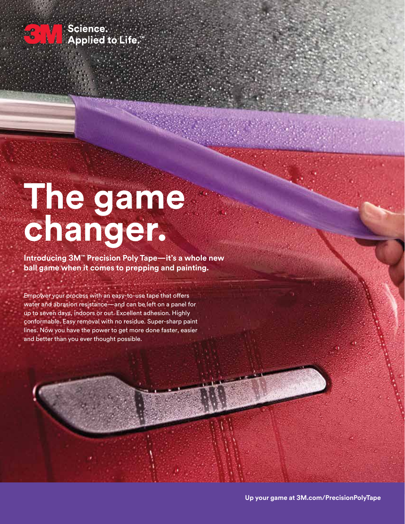

Science. **Applied to Life.** 

## **The game changer.**

**Introducing 3M™ Precision Poly Tape—it's a whole new ball game when it comes to prepping and painting.**

Empower your process with an easy-to-use tape that offers water and abrasion resistance—and can be left on a panel for up to seven days, indoors or out. Excellent adhesion. Highly conformable. Easy removal with no residue. Super-sharp paint lines. Now you have the power to get more done faster, easier and better than you ever thought possible.

**Up your game at 3M.com/PrecisionPolyTape**